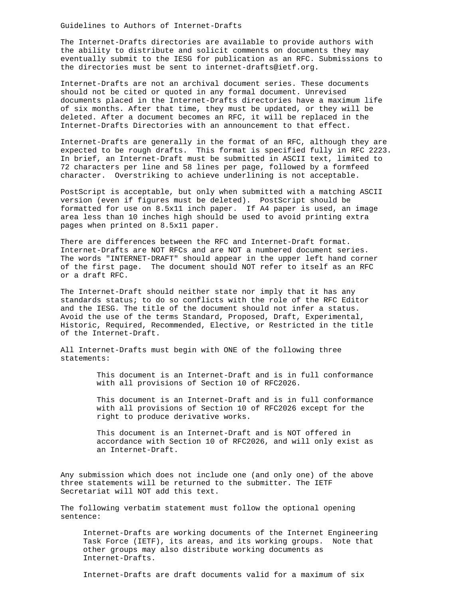The Internet-Drafts directories are available to provide authors with the ability to distribute and solicit comments on documents they may eventually submit to the IESG for publication as an RFC. Submissions to the directories must be sent to internet-drafts@ietf.org.

Internet-Drafts are not an archival document series. These documents should not be cited or quoted in any formal document. Unrevised documents placed in the Internet-Drafts directories have a maximum life of six months. After that time, they must be updated, or they will be deleted. After a document becomes an RFC, it will be replaced in the Internet-Drafts Directories with an announcement to that effect.

Internet-Drafts are generally in the format of an RFC, although they are expected to be rough drafts. This format is specified fully in RFC 2223. In brief, an Internet-Draft must be submitted in ASCII text, limited to 72 characters per line and 58 lines per page, followed by a formfeed character. Overstriking to achieve underlining is not acceptable.

PostScript is acceptable, but only when submitted with a matching ASCII version (even if figures must be deleted). PostScript should be formatted for use on 8.5x11 inch paper. If A4 paper is used, an image area less than 10 inches high should be used to avoid printing extra pages when printed on 8.5x11 paper.

There are differences between the RFC and Internet-Draft format. Internet-Drafts are NOT RFCs and are NOT a numbered document series. The words "INTERNET-DRAFT" should appear in the upper left hand corner of the first page. The document should NOT refer to itself as an RFC or a draft RFC.

The Internet-Draft should neither state nor imply that it has any standards status; to do so conflicts with the role of the RFC Editor and the IESG. The title of the document should not infer a status. Avoid the use of the terms Standard, Proposed, Draft, Experimental, Historic, Required, Recommended, Elective, or Restricted in the title of the Internet-Draft.

All Internet-Drafts must begin with ONE of the following three statements:

> This document is an Internet-Draft and is in full conformance with all provisions of Section 10 of RFC2026.

> This document is an Internet-Draft and is in full conformance with all provisions of Section 10 of RFC2026 except for the right to produce derivative works.

> This document is an Internet-Draft and is NOT offered in accordance with Section 10 of RFC2026, and will only exist as an Internet-Draft.

Any submission which does not include one (and only one) of the above three statements will be returned to the submitter. The IETF Secretariat will NOT add this text.

The following verbatim statement must follow the optional opening sentence:

 Internet-Drafts are working documents of the Internet Engineering Task Force (IETF), its areas, and its working groups. Note that other groups may also distribute working documents as Internet-Drafts.

Internet-Drafts are draft documents valid for a maximum of six